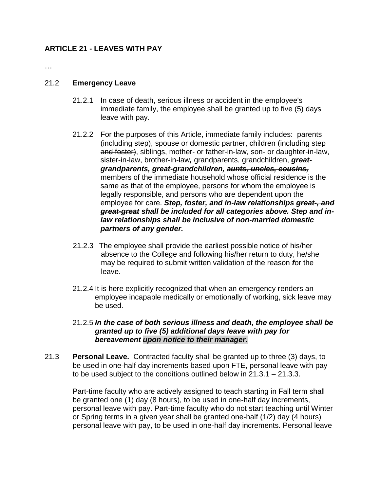## **ARTICLE 21 - LEAVES WITH PAY**

…

## 21.2 **Emergency Leave**

- 21.2.1 In case of death, serious illness or accident in the employee's immediate family, the employee shall be granted up to five (5) days leave with pay.
- 21.2.2 For the purposes of this Article, immediate family includes: parents (including step), spouse or domestic partner, children (including step and foster), siblings, mother- or father-in-law, son- or daughter-in-law, sister-in-law, brother-in-law*,* grandparents, grandchildren, *greatgrandparents, great-grandchildren, aunts, uncles, cousins,* members of the immediate household whose official residence is the same as that of the employee, persons for whom the employee is legally responsible, and persons who are dependent upon the employee for care. *Step, foster, and in-law relationships great-, and great-great shall be included for all categories above. Step and inlaw relationships shall be inclusive of non-married domestic partners of any gender.*
- 21.2.3 The employee shall provide the earliest possible notice of his/her absence to the College and following his/her return to duty, he/she may be required to submit written validation of the reason *f*or the leave.
- 21.2.4 It is here explicitly recognized that when an emergency renders an employee incapable medically or emotionally of working, sick leave may be used.

## 21.2.5 *In the case of both serious illness and death, the employee shall be granted up to five (5) additional days leave with pay for bereavement upon notice to their manager.*

21.3 **Personal Leave.** Contracted faculty shall be granted up to three (3) days, to be used in one-half day increments based upon FTE, personal leave with pay to be used subject to the conditions outlined below in 21.3.1 – 21.3.3.

Part-time faculty who are actively assigned to teach starting in Fall term shall be granted one (1) day (8 hours), to be used in one-half day increments, personal leave with pay. Part-time faculty who do not start teaching until Winter or Spring terms in a given year shall be granted one-half (1/2) day (4 hours) personal leave with pay, to be used in one-half day increments. Personal leave